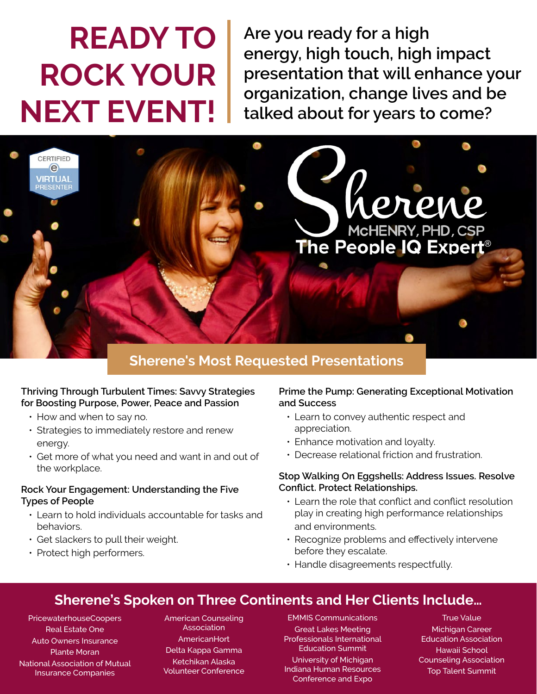# **READY TO ROCK YOUR NEXT EVENT!**

**Are you ready for a high energy, high touch, high impact presentation that will enhance your organization, change lives and be talked about for years to come?**



## **Sherene's Most Requested Presentations**

### **Thriving Through Turbulent Times: Savvy Strategies for Boosting Purpose, Power, Peace and Passion**

- How and when to say no.
- Strategies to immediately restore and renew energy.
- Get more of what you need and want in and out of the workplace.

## **Rock Your Engagement: Understanding the Five Types of People**

- Learn to hold individuals accountable for tasks and behaviors.
- Get slackers to pull their weight.
- Protect high performers.

## **Prime the Pump: Generating Exceptional Motivation and Success**

- Learn to convey authentic respect and appreciation.
- Enhance motivation and loyalty.
- Decrease relational friction and frustration.

### **Stop Walking On Eggshells: Address Issues. Resolve Conflict. Protect Relationships.**

- Learn the role that conflict and conflict resolution play in creating high performance relationships and environments.
- Recognize problems and effectively intervene before they escalate.
- Handle disagreements respectfully.

## **Sherene's Spoken on Three Continents and Her Clients Include…**

PricewaterhouseCoopers Real Estate One Auto Owners Insurance Plante Moran National Association of Mutual Insurance Companies

American Counseling Association **AmericanHort** Delta Kappa Gamma Ketchikan Alaska Volunteer Conference

EMMIS Communications Great Lakes Meeting Professionals International Education Summit University of Michigan Indiana Human Resources Conference and Expo

True Value Michigan Career Education Association Hawaii School Counseling Association Top Talent Summit